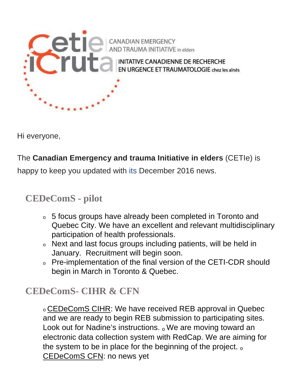

Hi everyone,

### The **Canadian Emergency and trauma Initiative in elders** (CETIe) is

happy to keep you updated with its December 2016 news.

## **CEDeComS - pilot**

- <sup>o</sup> 5 focus groups have already been completed in Toronto and Quebec City. We have an excellent and relevant multidisciplinary participation of health professionals.
- <sup>o</sup> Next and last focus groups including patients, will be held in January. Recruitment will begin soon.
- <sup>o</sup> Pre-implementation of the final version of the CETI-CDR should begin in March in Toronto & Quebec.

# **CEDeComS- CIHR & CFN**

<sup>o</sup> CEDeComS CIHR: We have received REB approval in Quebec and we are ready to begin REB submission to participating sites. Look out for Nadine's instructions. . We are moving toward an electronic data collection system with RedCap. We are aiming for the system to be in place for the beginning of the project.  $\circ$ CEDeComS CFN: no news yet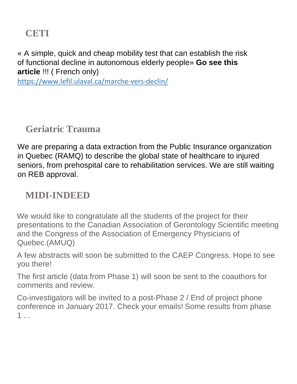## **CETI**

« A simple, quick and cheap mobility test that can establish the risk of functional decline in autonomous elderly people» **Go see this article** !!! ( French only)

https://www.lefil.ulaval.ca/marche-vers-declin/

## **Geriatric Trauma**

We are preparing a data extraction from the Public Insurance organization in Quebec (RAMQ) to describe the global state of healthcare to injured seniors, from prehospital care to rehabilitation services. We are still waiting on REB approval.

## **MIDI-INDEED**

We would like to congratulate all the students of the project for their presentations to the Canadian Association of Gerontology Scientific meeting and the Congress of the Association of Emergency Physicians of Quebec.(AMUQ)

A few abstracts will soon be submitted to the CAEP Congress. Hope to see you there!

The first article (data from Phase 1) will soon be sent to the coauthors for comments and review.

Co-investigators will be invited to a post-Phase 2 / End of project phone conference in January 2017. Check your emails! Some results from phase 1 ...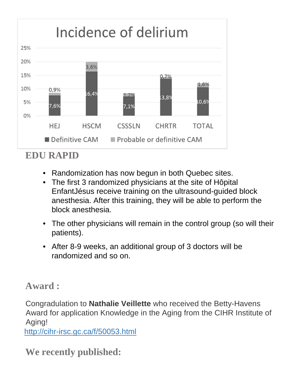

## **EDU RAPID**

- Randomization has now begun in both Quebec sites.
- The first 3 randomized physicians at the site of Hôpital EnfantJésus receive training on the ultrasound-guided block anesthesia. After this training, they will be able to perform the block anesthesia.
- The other physicians will remain in the control group (so will their patients).
- After 8-9 weeks, an additional group of 3 doctors will be randomized and so on.

### **Award :**

Congradulation to **Nathalie Veillette** who received the Betty-Havens Award for application Knowledge in the Aging from the CIHR Institute of Aging!

http://cihr-irsc.gc.ca/f/50053.html

**We recently published:**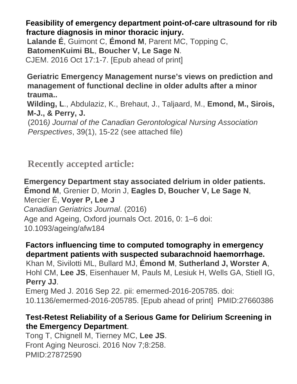**Feasibility of emergency department point-of-care ultrasound for rib fracture diagnosis in minor thoracic injury.**

**Lalande É**, Guimont C, **Émond M**, Parent MC, Topping C, **BatomenKuimi BL**, **Boucher V, Le Sage N**. CJEM. 2016 Oct 17:1-7. [Epub ahead of print]

**Geriatric Emergency Management nurse's views on prediction and management of functional decline in older adults after a minor trauma..** 

**Wilding, L**., Abdulaziz, K., Brehaut, J., Taljaard, M., **Emond, M., Sirois, M-J., & Perry, J.**

(2016) Journal of the Canadian Gerontological Nursing Association Perspectives, 39(1), 15-22 (see attached file)

**Recently accepted article:**

**Emergency Department stay associated delrium in older patients. Émond M**, Grenier D, Morin J, **Eagles D, Boucher V, Le Sage N**, Mercier É, **Voyer P, Lee J** Canadian Geriatrics Journal. (2016) Age and Ageing, Oxford journals Oct. 2016, 0: 1–6 doi: 10.1093/ageing/afw184

#### **Factors influencing time to computed tomography in emergency department patients with suspected subarachnoid haemorrhage.**

Khan M, Sivilotti ML, Bullard MJ, **Émond M**, **Sutherland J, Worster A**, Hohl CM, **Lee JS**, Eisenhauer M, Pauls M, Lesiuk H, Wells GA, Stiell IG, **Perry JJ**.

Emerg Med J. 2016 Sep 22. pii: emermed-2016-205785. doi: 10.1136/emermed-2016-205785. [Epub ahead of print] PMID:27660386

#### **Test-Retest Reliability of a Serious Game for Delirium Screening in the Emergency Department**.

Tong T, Chignell M, Tierney MC, **Lee JS**. Front Aging Neurosci. 2016 Nov 7;8:258. PMID:27872590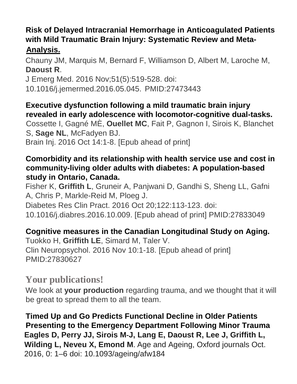### **Risk of Delayed Intracranial Hemorrhage in Anticoagulated Patients with Mild Traumatic Brain Injury: Systematic Review and Meta-Analysis.**

Chauny JM, Marquis M, Bernard F, Williamson D, Albert M, Laroche M, **Daoust R**.

J Emerg Med. 2016 Nov;51(5):519-528. doi: 10.1016/j.jemermed.2016.05.045. PMID:27473443

#### **Executive dysfunction following a mild traumatic brain injury revealed in early adolescence with locomotor-cognitive dual-tasks.**

Cossette I, Gagné MÈ, **Ouellet MC**, Fait P, Gagnon I, Sirois K, Blanchet S, **Sage NL**, McFadyen BJ.

Brain Inj. 2016 Oct 14:1-8. [Epub ahead of print]

#### **Comorbidity and its relationship with health service use and cost in community-living older adults with diabetes: A population-based study in Ontario, Canada.**

Fisher K, **Griffith L**, Gruneir A, Panjwani D, Gandhi S, Sheng LL, Gafni A, Chris P, Markle-Reid M, Ploeg J.

Diabetes Res Clin Pract. 2016 Oct 20;122:113-123. doi:

10.1016/j.diabres.2016.10.009. [Epub ahead of print] PMID:27833049

### **Cognitive measures in the Canadian Longitudinal Study on Aging.**

Tuokko H, **Griffith LE**, Simard M, Taler V. Clin Neuropsychol. 2016 Nov 10:1-18. [Epub ahead of print] PMID:27830627

## **Your publications!**

We look at **your production** regarding trauma, and we thought that it will be great to spread them to all the team.

**Timed Up and Go Predicts Functional Decline in Older Patients Presenting to the Emergency Department Following Minor Trauma Eagles D, Perry JJ, Sirois M-J, Lang E, Daoust R, Lee J, Griffith L, Wilding L, Neveu X, Emond M**. Age and Ageing, Oxford journals Oct. 2016, 0: 1–6 doi: 10.1093/ageing/afw184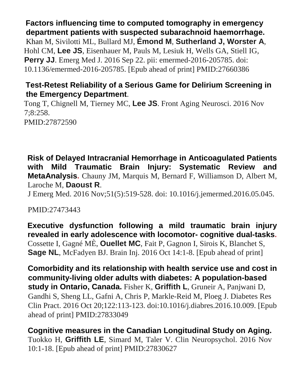## **Factors influencing time to computed tomography in emergency department patients with suspected subarachnoid haemorrhage.**

Khan M, Sivilotti ML, Bullard MJ, **Émond M**, **Sutherland J, Worster A**, Hohl CM, **Lee JS**, Eisenhauer M, Pauls M, Lesiuk H, Wells GA, Stiell IG, **Perry JJ**. Emerg Med J. 2016 Sep 22. pii: emermed-2016-205785. doi: 10.1136/emermed-2016-205785. [Epub ahead of print] PMID:27660386

#### **Test-Retest Reliability of a Serious Game for Delirium Screening in the Emergency Department**.

Tong T, Chignell M, Tierney MC, **Lee JS**. Front Aging Neurosci. 2016 Nov 7;8:258. PMID:27872590

**Risk of Delayed Intracranial Hemorrhage in Anticoagulated Patients with Mild Traumatic Brain Injury: Systematic Review and MetaAnalysis.** Chauny JM, Marquis M, Bernard F, Williamson D, Albert M, Laroche M, **Daoust R**.

J Emerg Med. 2016 Nov;51(5):519-528. doi: 10.1016/j.jemermed.2016.05.045.

PMID:27473443

**Executive dysfunction following a mild traumatic brain injury revealed in early adolescence with locomotor- cognitive dual-tasks.**  Cossette I, Gagné MÈ, **Ouellet MC**, Fait P, Gagnon I, Sirois K, Blanchet S, **Sage NL,** McFadyen BJ. Brain Inj. 2016 Oct 14:1-8. [Epub ahead of print]

**Comorbidity and its relationship with health service use and cost in community-living older adults with diabetes: A population-based study in Ontario, Canada.** Fisher K, **Griffith L**, Gruneir A, Panjwani D, Gandhi S, Sheng LL, Gafni A, Chris P, Markle-Reid M, Ploeg J. Diabetes Res Clin Pract. 2016 Oct 20;122:113-123. doi:10.1016/j.diabres.2016.10.009. [Epub ahead of print] PMID:27833049

**Cognitive measures in the Canadian Longitudinal Study on Aging.** Tuokko H, **Griffith LE**, Simard M, Taler V. Clin Neuropsychol. 2016 Nov 10:1-18. [Epub ahead of print] PMID:27830627